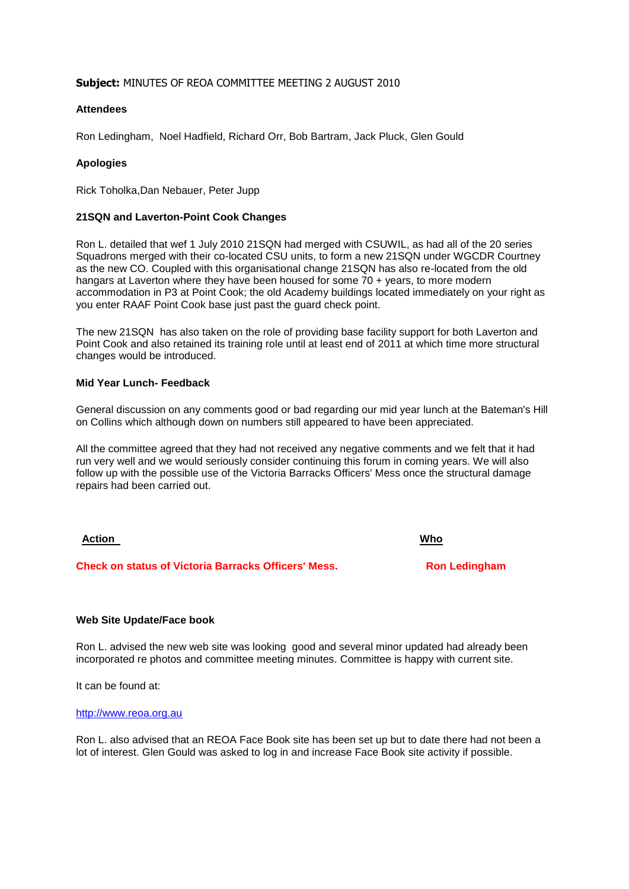# **Subject:** MINUTES OF REOA COMMITTEE MEETING 2 AUGUST 2010

## **Attendees**

Ron Ledingham, Noel Hadfield, Richard Orr, Bob Bartram, Jack Pluck, Glen Gould

## **Apologies**

Rick Toholka,Dan Nebauer, Peter Jupp

### **21SQN and Laverton-Point Cook Changes**

Ron L. detailed that wef 1 July 2010 21SQN had merged with CSUWIL, as had all of the 20 series Squadrons merged with their co-located CSU units, to form a new 21SQN under WGCDR Courtney as the new CO. Coupled with this organisational change 21SQN has also re-located from the old hangars at Laverton where they have been housed for some 70 + years, to more modern accommodation in P3 at Point Cook; the old Academy buildings located immediately on your right as you enter RAAF Point Cook base just past the guard check point.

The new 21SQN has also taken on the role of providing base facility support for both Laverton and Point Cook and also retained its training role until at least end of 2011 at which time more structural changes would be introduced.

## **Mid Year Lunch- Feedback**

General discussion on any comments good or bad regarding our mid year lunch at the Bateman's Hill on Collins which although down on numbers still appeared to have been appreciated.

All the committee agreed that they had not received any negative comments and we felt that it had run very well and we would seriously consider continuing this forum in coming years. We will also follow up with the possible use of the Victoria Barracks Officers' Mess once the structural damage repairs had been carried out.

### **Action Who**

**Check on status of Victoria Barracks Officers' Mess. Ron Ledingham**

### **Web Site Update/Face book**

Ron L. advised the new web site was looking good and several minor updated had already been incorporated re photos and committee meeting minutes. Committee is happy with current site.

It can be found at:

#### [http://www.reoa.org.au](http://www.reoa.org.au/)

Ron L. also advised that an REOA Face Book site has been set up but to date there had not been a lot of interest. Glen Gould was asked to log in and increase Face Book site activity if possible.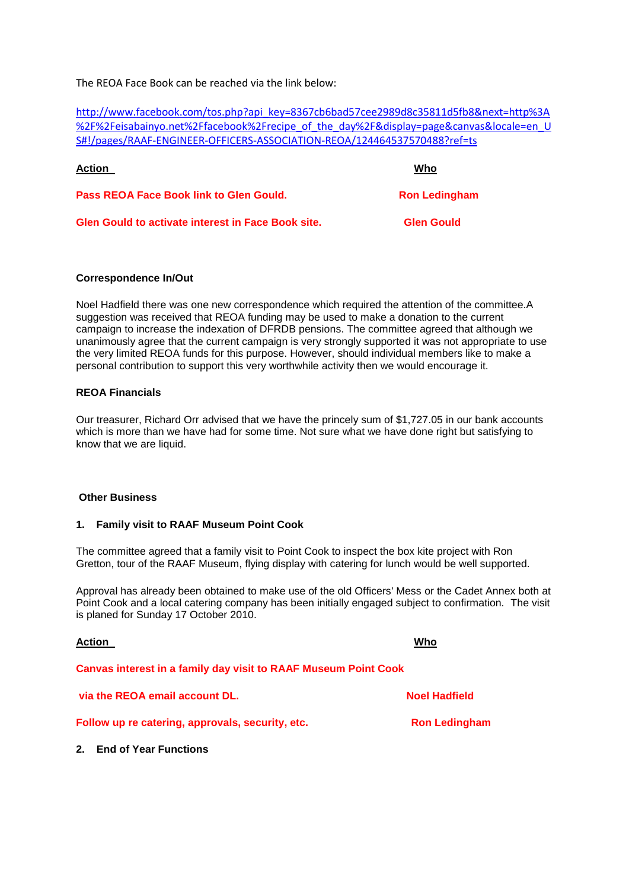The REOA Face Book can be reached via the link below:

[http://www.facebook.com/tos.php?api\\_key=8367cb6bad57cee2989d8c35811d5fb8&next=http%3A](http://www.facebook.com/tos.php?api_key=8367cb6bad57cee2989d8c35811d5fb8&next=http%3A%2F%2Feisabainyo.net%2Ffacebook%2Frecipe_of_the_day%2F&display=page&canvas&locale=en_US#!/pages/RAAF-ENGINEER-OFFICERS-ASSOCIATION-REOA/124464537570488?ref=ts) [%2F%2Feisabainyo.net%2Ffacebook%2Frecipe\\_of\\_the\\_day%2F&display=page&canvas&locale=en\\_U](http://www.facebook.com/tos.php?api_key=8367cb6bad57cee2989d8c35811d5fb8&next=http%3A%2F%2Feisabainyo.net%2Ffacebook%2Frecipe_of_the_day%2F&display=page&canvas&locale=en_US#!/pages/RAAF-ENGINEER-OFFICERS-ASSOCIATION-REOA/124464537570488?ref=ts) [S#!/pages/RAAF-ENGINEER-OFFICERS-ASSOCIATION-REOA/124464537570488?ref=ts](http://www.facebook.com/tos.php?api_key=8367cb6bad57cee2989d8c35811d5fb8&next=http%3A%2F%2Feisabainyo.net%2Ffacebook%2Frecipe_of_the_day%2F&display=page&canvas&locale=en_US#!/pages/RAAF-ENGINEER-OFFICERS-ASSOCIATION-REOA/124464537570488?ref=ts)

| <b>Action</b>                                             | Who                  |
|-----------------------------------------------------------|----------------------|
| Pass REOA Face Book link to Glen Gould.                   | <b>Ron Ledingham</b> |
| <b>Glen Gould to activate interest in Face Book site.</b> | <b>Glen Gould</b>    |

## **Correspondence In/Out**

Noel Hadfield there was one new correspondence which required the attention of the committee.A suggestion was received that REOA funding may be used to make a donation to the current campaign to increase the indexation of DFRDB pensions. The committee agreed that although we unanimously agree that the current campaign is very strongly supported it was not appropriate to use the very limited REOA funds for this purpose. However, should individual members like to make a personal contribution to support this very worthwhile activity then we would encourage it.

# **REOA Financials**

Our treasurer, Richard Orr advised that we have the princely sum of \$1,727.05 in our bank accounts which is more than we have had for some time. Not sure what we have done right but satisfying to know that we are liquid.

### **Other Business**

**2. End of Year Functions**

### **1. Family visit to RAAF Museum Point Cook**

The committee agreed that a family visit to Point Cook to inspect the box kite project with Ron Gretton, tour of the RAAF Museum, flying display with catering for lunch would be well supported.

Approval has already been obtained to make use of the old Officers' Mess or the Cadet Annex both at Point Cook and a local catering company has been initially engaged subject to confirmation. The visit is planed for Sunday 17 October 2010.

| <b>Action</b>                                                          | Who                  |
|------------------------------------------------------------------------|----------------------|
| <b>Canvas interest in a family day visit to RAAF Museum Point Cook</b> |                      |
| via the REOA email account DL.                                         | <b>Noel Hadfield</b> |
| Follow up re catering, approvals, security, etc.                       | <b>Ron Ledingham</b> |